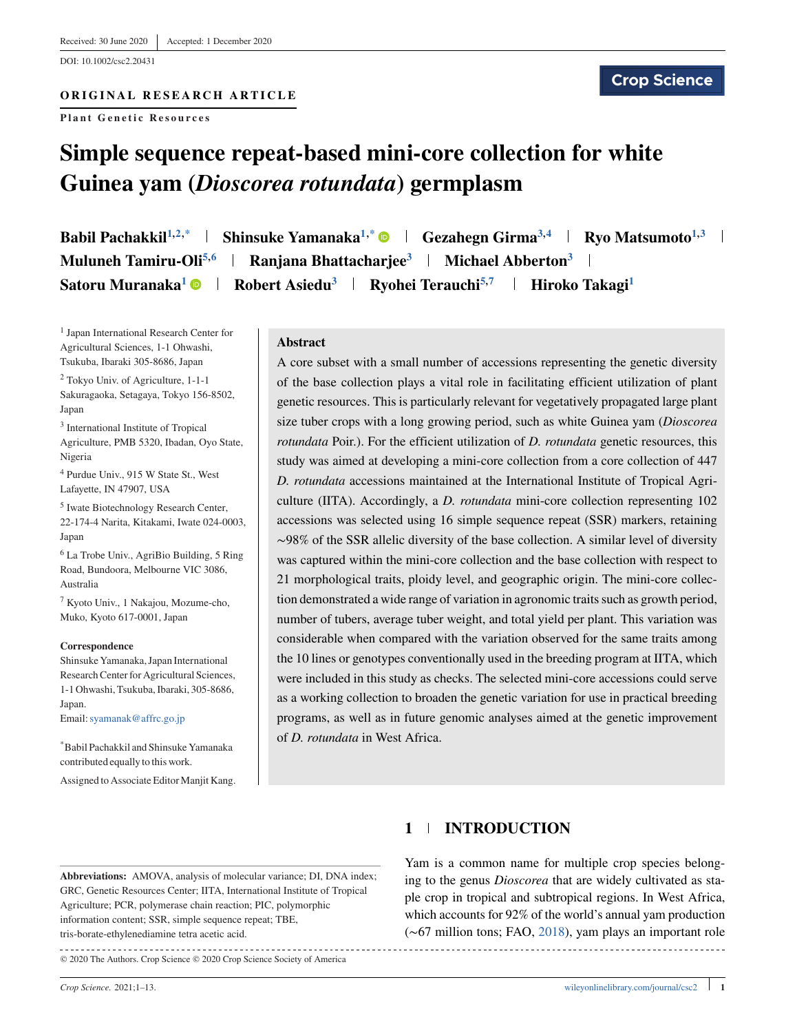DOI: 10.1002/csc2.20431

### **ORIGINAL RESEARCH ARTICLE**

**Plant Genetic Resources**

# **Simple sequence repeat-based mini-core collection for white Guinea yam (***Dioscorea rotundata***) germplasm**

**Babil Pachakkil**<sup>1,2,\*</sup> | Shinsuke Yamanaka<sup>1,\*</sup>  $\bullet$  | Gezahegn Girma<sup>3,4</sup> | Ryo Matsumoto<sup>1,3</sup> | **Muluneh Tamiru-Oli<sup>5,6</sup> | Ranjana Bhattacharjee<sup>3</sup> | Michael Abberton<sup>3</sup> | Satoru Muranaka<sup>1</sup> • Robert Asiedu<sup>3</sup> + Ryohei Terauchi<sup>5,7</sup> + Hiroko Takagi<sup>1</sup>** 

<sup>1</sup> Japan International Research Center for Agricultural Sciences, 1-1 Ohwashi, Tsukuba, Ibaraki 305-8686, Japan

<sup>2</sup> Tokyo Univ. of Agriculture, 1-1-1 Sakuragaoka, Setagaya, Tokyo 156-8502, Japan

<sup>3</sup> International Institute of Tropical Agriculture, PMB 5320, Ibadan, Oyo State, Nigeria

<sup>4</sup> Purdue Univ., 915 W State St., West Lafayette, IN 47907, USA

<sup>5</sup> Iwate Biotechnology Research Center, 22-174-4 Narita, Kitakami, Iwate 024-0003, Japan

<sup>6</sup> La Trobe Univ., AgriBio Building, 5 Ring Road, Bundoora, Melbourne VIC 3086, Australia

<sup>7</sup> Kyoto Univ., 1 Nakajou, Mozume-cho, Muko, Kyoto 617-0001, Japan

#### **Correspondence**

Shinsuke Yamanaka, Japan International Research Center for Agricultural Sciences, 1-1 Ohwashi, Tsukuba, Ibaraki, 305-8686, Japan.

Email:[syamanak@affrc.go.jp](mailto:syamanak@affrc.go.jp)

\*Babil Pachakkil and Shinsuke Yamanaka contributed equally to this work.

Assigned to Associate Editor Manjit Kang.

#### **Abstract**

A core subset with a small number of accessions representing the genetic diversity of the base collection plays a vital role in facilitating efficient utilization of plant genetic resources. This is particularly relevant for vegetatively propagated large plant size tuber crops with a long growing period, such as white Guinea yam (*Dioscorea rotundata* Poir.). For the efficient utilization of *D. rotundata* genetic resources, this study was aimed at developing a mini-core collection from a core collection of 447 *D. rotundata* accessions maintained at the International Institute of Tropical Agriculture (IITA). Accordingly, a *D. rotundata* mini-core collection representing 102 accessions was selected using 16 simple sequence repeat (SSR) markers, retaining ∼98% of the SSR allelic diversity of the base collection. A similar level of diversity was captured within the mini-core collection and the base collection with respect to 21 morphological traits, ploidy level, and geographic origin. The mini-core collection demonstrated a wide range of variation in agronomic traits such as growth period, number of tubers, average tuber weight, and total yield per plant. This variation was considerable when compared with the variation observed for the same traits among the 10 lines or genotypes conventionally used in the breeding program at IITA, which were included in this study as checks. The selected mini-core accessions could serve as a working collection to broaden the genetic variation for use in practical breeding programs, as well as in future genomic analyses aimed at the genetic improvement of *D. rotundata* in West Africa.

# **1 INTRODUCTION**

**Abbreviations:** AMOVA, analysis of molecular variance; DI, DNA index; GRC, Genetic Resources Center; IITA, International Institute of Tropical Agriculture; PCR, polymerase chain reaction; PIC, polymorphic information content; SSR, simple sequence repeat; TBE, tris-borate-ethylenediamine tetra acetic acid. 

© 2020 The Authors. Crop Science © 2020 Crop Science Society of America

Yam is a common name for multiple crop species belonging to the genus *Dioscorea* that are widely cultivated as staple crop in tropical and subtropical regions. In West Africa, which accounts for 92% of the world's annual yam production (∼67 million tons; FAO, [2018\)](#page-10-0), yam plays an important role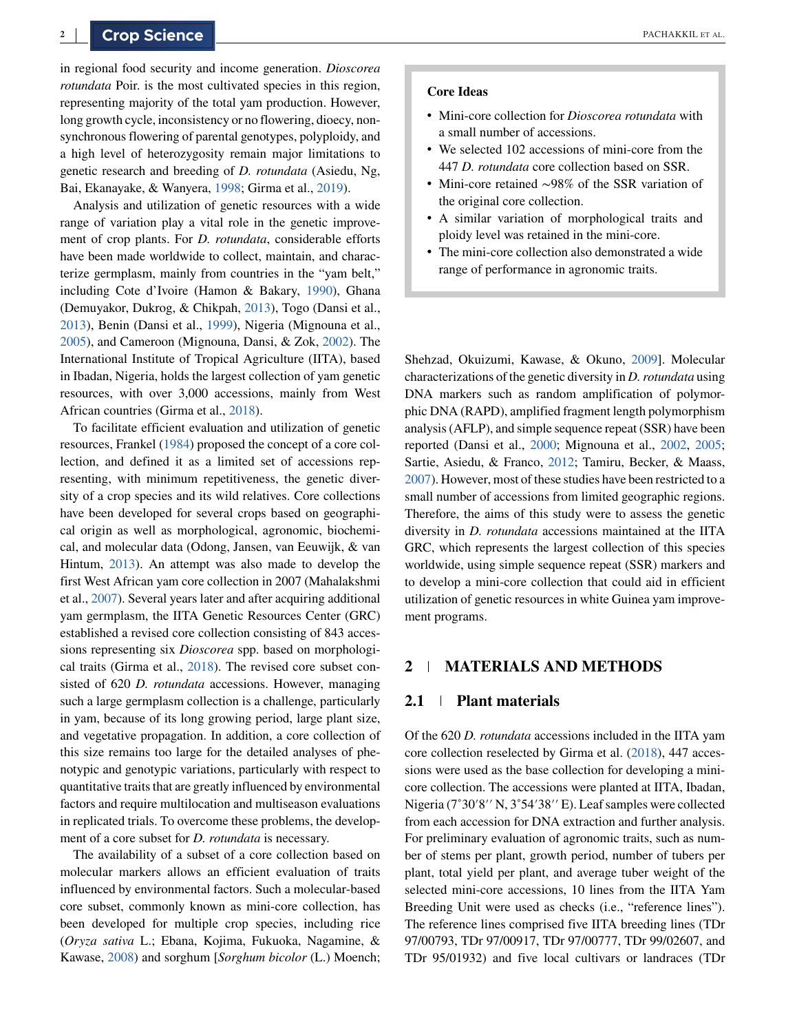in regional food security and income generation. *Dioscorea rotundata* Poir. is the most cultivated species in this region, representing majority of the total yam production. However, long growth cycle, inconsistency or no flowering, dioecy, nonsynchronous flowering of parental genotypes, polyploidy, and a high level of heterozygosity remain major limitations to genetic research and breeding of *D. rotundata* (Asiedu, Ng, Bai, Ekanayake, & Wanyera, [1998;](#page-10-0) Girma et al., [2019\)](#page-11-0).

Analysis and utilization of genetic resources with a wide range of variation play a vital role in the genetic improvement of crop plants. For *D. rotundata*, considerable efforts have been made worldwide to collect, maintain, and characterize germplasm, mainly from countries in the "yam belt," including Cote d'Ivoire (Hamon & Bakary, [1990\)](#page-11-0), Ghana (Demuyakor, Dukrog, & Chikpah, [2013\)](#page-10-0), Togo (Dansi et al., [2013\)](#page-10-0), Benin (Dansi et al., [1999\)](#page-10-0), Nigeria (Mignouna et al., [2005\)](#page-11-0), and Cameroon (Mignouna, Dansi, & Zok, [2002\)](#page-11-0). The International Institute of Tropical Agriculture (IITA), based in Ibadan, Nigeria, holds the largest collection of yam genetic resources, with over 3,000 accessions, mainly from West African countries (Girma et al., [2018\)](#page-10-0).

To facilitate efficient evaluation and utilization of genetic resources, Frankel [\(1984\)](#page-10-0) proposed the concept of a core collection, and defined it as a limited set of accessions representing, with minimum repetitiveness, the genetic diversity of a crop species and its wild relatives. Core collections have been developed for several crops based on geographical origin as well as morphological, agronomic, biochemical, and molecular data (Odong, Jansen, van Eeuwijk, & van Hintum, [2013\)](#page-11-0). An attempt was also made to develop the first West African yam core collection in 2007 (Mahalakshmi et al., [2007\)](#page-11-0). Several years later and after acquiring additional yam germplasm, the IITA Genetic Resources Center (GRC) established a revised core collection consisting of 843 accessions representing six *Dioscorea* spp. based on morphological traits (Girma et al., [2018\)](#page-10-0). The revised core subset consisted of 620 *D. rotundata* accessions. However, managing such a large germplasm collection is a challenge, particularly in yam, because of its long growing period, large plant size, and vegetative propagation. In addition, a core collection of this size remains too large for the detailed analyses of phenotypic and genotypic variations, particularly with respect to quantitative traits that are greatly influenced by environmental factors and require multilocation and multiseason evaluations in replicated trials. To overcome these problems, the development of a core subset for *D. rotundata* is necessary.

The availability of a subset of a core collection based on molecular markers allows an efficient evaluation of traits influenced by environmental factors. Such a molecular-based core subset, commonly known as mini-core collection, has been developed for multiple crop species, including rice (*Oryza sativa* L.; Ebana, Kojima, Fukuoka, Nagamine, & Kawase, [2008\)](#page-10-0) and sorghum [*Sorghum bicolor* (L.) Moench;

#### **Core Ideas**

- ∙ Mini-core collection for *Dioscorea rotundata* with a small number of accessions.
- ∙ We selected 102 accessions of mini-core from the 447 *D. rotundata* core collection based on SSR.
- ∙ Mini-core retained ∼98% of the SSR variation of the original core collection.
- ∙ A similar variation of morphological traits and ploidy level was retained in the mini-core.
- ∙ The mini-core collection also demonstrated a wide range of performance in agronomic traits.

Shehzad, Okuizumi, Kawase, & Okuno, [2009\]](#page-11-0). Molecular characterizations of the genetic diversity in *D. rotundata* using DNA markers such as random amplification of polymorphic DNA (RAPD), amplified fragment length polymorphism analysis (AFLP), and simple sequence repeat (SSR) have been reported (Dansi et al., [2000;](#page-10-0) Mignouna et al., [2002,](#page-11-0) [2005;](#page-11-0) Sartie, Asiedu, & Franco, [2012;](#page-11-0) Tamiru, Becker, & Maass, [2007\)](#page-11-0). However, most of these studies have been restricted to a small number of accessions from limited geographic regions. Therefore, the aims of this study were to assess the genetic diversity in *D. rotundata* accessions maintained at the IITA GRC, which represents the largest collection of this species worldwide, using simple sequence repeat (SSR) markers and to develop a mini-core collection that could aid in efficient utilization of genetic resources in white Guinea yam improvement programs.

# **2 MATERIALS AND METHODS**

#### **2.1 Plant materials**

Of the 620 *D. rotundata* accessions included in the IITA yam core collection reselected by Girma et al. [\(2018\)](#page-10-0), 447 accessions were used as the base collection for developing a minicore collection. The accessions were planted at IITA, Ibadan, Nigeria (7˚30′8′′ N, 3˚54′38′′ E). Leaf samples were collected from each accession for DNA extraction and further analysis. For preliminary evaluation of agronomic traits, such as number of stems per plant, growth period, number of tubers per plant, total yield per plant, and average tuber weight of the selected mini-core accessions, 10 lines from the IITA Yam Breeding Unit were used as checks (i.e., "reference lines"). The reference lines comprised five IITA breeding lines (TDr 97/00793, TDr 97/00917, TDr 97/00777, TDr 99/02607, and TDr 95/01932) and five local cultivars or landraces (TDr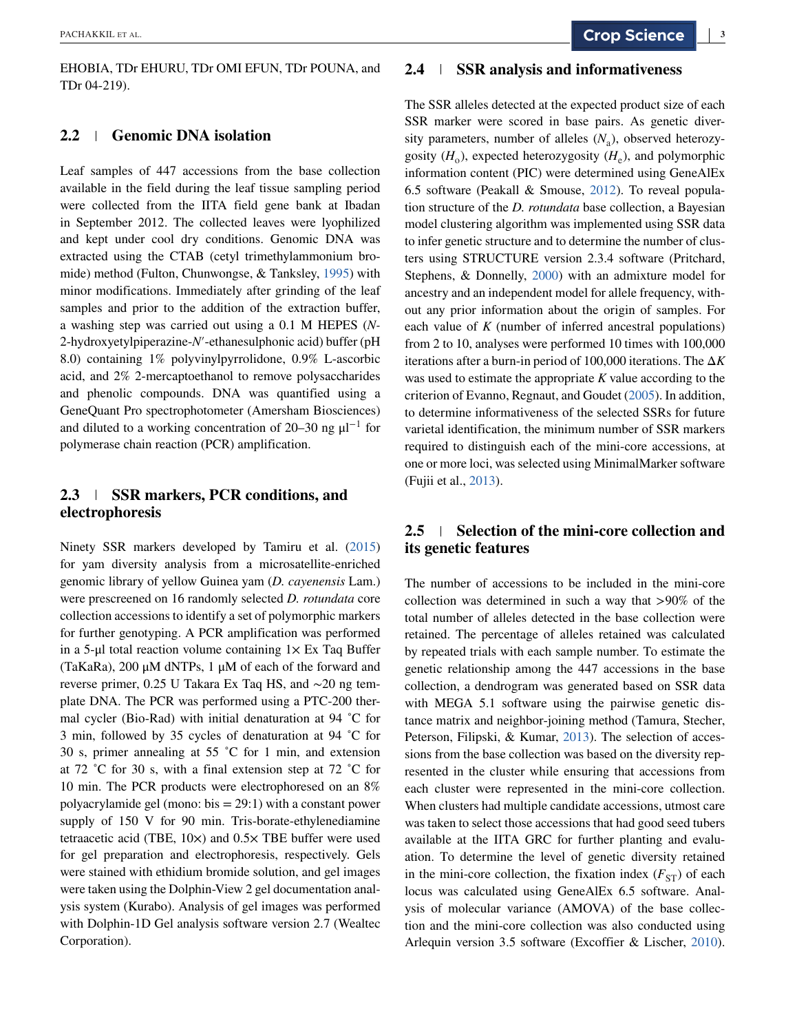EHOBIA, TDr EHURU, TDr OMI EFUN, TDr POUNA, and TDr 04-219).

## **2.2 Genomic DNA isolation**

Leaf samples of 447 accessions from the base collection available in the field during the leaf tissue sampling period were collected from the IITA field gene bank at Ibadan in September 2012. The collected leaves were lyophilized and kept under cool dry conditions. Genomic DNA was extracted using the CTAB (cetyl trimethylammonium bromide) method (Fulton, Chunwongse, & Tanksley, [1995\)](#page-10-0) with minor modifications. Immediately after grinding of the leaf samples and prior to the addition of the extraction buffer, a washing step was carried out using a 0.1 M HEPES (*N-*2-hydroxyetylpiperazine-*N*′-ethanesulphonic acid) buffer (pH 8.0) containing 1% polyvinylpyrrolidone, 0.9% L-ascorbic acid, and 2% 2-mercaptoethanol to remove polysaccharides and phenolic compounds. DNA was quantified using a GeneQuant Pro spectrophotometer (Amersham Biosciences) and diluted to a working concentration of 20–30 ng  $\mu$ l<sup>-1</sup> for polymerase chain reaction (PCR) amplification.

## **2.3 SSR markers, PCR conditions, and electrophoresis**

Ninety SSR markers developed by Tamiru et al. [\(2015\)](#page-11-0) for yam diversity analysis from a microsatellite-enriched genomic library of yellow Guinea yam (*D. cayenensis* Lam.) were prescreened on 16 randomly selected *D. rotundata* core collection accessions to identify a set of polymorphic markers for further genotyping. A PCR amplification was performed in a 5-μl total reaction volume containing  $1\times$  Ex Taq Buffer (TaKaRa), 200 μM dNTPs, 1 μM of each of the forward and reverse primer, 0.25 U Takara Ex Taq HS, and ∼20 ng template DNA. The PCR was performed using a PTC-200 thermal cycler (Bio-Rad) with initial denaturation at 94 ˚C for 3 min, followed by 35 cycles of denaturation at 94 ˚C for 30 s, primer annealing at 55 ˚C for 1 min, and extension at 72 ˚C for 30 s, with a final extension step at 72 ˚C for 10 min. The PCR products were electrophoresed on an 8% polyacrylamide gel (mono: bis = 29:1) with a constant power supply of 150 V for 90 min. Tris-borate-ethylenediamine tetraacetic acid (TBE,  $10\times$ ) and  $0.5\times$  TBE buffer were used for gel preparation and electrophoresis, respectively. Gels were stained with ethidium bromide solution, and gel images were taken using the Dolphin-View 2 gel documentation analysis system (Kurabo). Analysis of gel images was performed with Dolphin-1D Gel analysis software version 2.7 (Wealtec Corporation).

#### **2.4 SSR analysis and informativeness**

The SSR alleles detected at the expected product size of each SSR marker were scored in base pairs. As genetic diversity parameters, number of alleles  $(N_a)$ , observed heterozygosity  $(H_0)$ , expected heterozygosity  $(H_e)$ , and polymorphic information content (PIC) were determined using GeneAlEx 6.5 software (Peakall & Smouse,  $2012$ ). To reveal population structure of the *D. rotundata* base collection, a Bayesian model clustering algorithm was implemented using SSR data to infer genetic structure and to determine the number of clusters using STRUCTURE version 2.3.4 software (Pritchard, Stephens, & Donnelly, [2000\)](#page-11-0) with an admixture model for ancestry and an independent model for allele frequency, without any prior information about the origin of samples. For each value of *K* (number of inferred ancestral populations) from 2 to 10, analyses were performed 10 times with 100,000 iterations after a burn-in period of 100,000 iterations. The Δ*K* was used to estimate the appropriate *K* value according to the criterion of Evanno, Regnaut, and Goudet [\(2005\)](#page-10-0). In addition, to determine informativeness of the selected SSRs for future varietal identification, the minimum number of SSR markers required to distinguish each of the mini-core accessions, at one or more loci, was selected using MinimalMarker software (Fujii et al., [2013\)](#page-10-0).

# **2.5 Selection of the mini-core collection and its genetic features**

The number of accessions to be included in the mini-core collection was determined in such a way that *>*90% of the total number of alleles detected in the base collection were retained. The percentage of alleles retained was calculated by repeated trials with each sample number. To estimate the genetic relationship among the 447 accessions in the base collection, a dendrogram was generated based on SSR data with MEGA 5.1 software using the pairwise genetic distance matrix and neighbor-joining method (Tamura, Stecher, Peterson, Filipski, & Kumar, [2013\)](#page-11-0). The selection of accessions from the base collection was based on the diversity represented in the cluster while ensuring that accessions from each cluster were represented in the mini-core collection. When clusters had multiple candidate accessions, utmost care was taken to select those accessions that had good seed tubers available at the IITA GRC for further planting and evaluation. To determine the level of genetic diversity retained in the mini-core collection, the fixation index  $(F_{ST})$  of each locus was calculated using GeneAlEx 6.5 software. Analysis of molecular variance (AMOVA) of the base collection and the mini-core collection was also conducted using Arlequin version 3.5 software (Excoffier & Lischer, [2010\)](#page-10-0).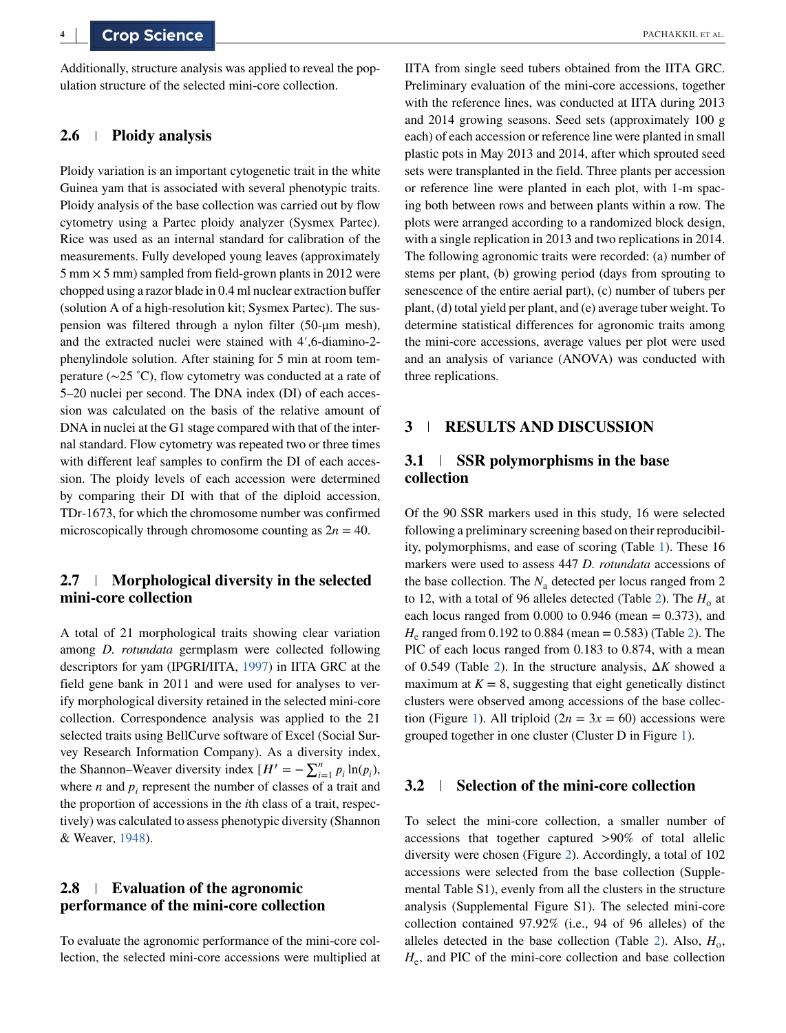Additionally, structure analysis was applied to reveal the population structure of the selected mini-core collection.

## **2.6 Ploidy analysis**

Ploidy variation is an important cytogenetic trait in the white Guinea yam that is associated with several phenotypic traits. Ploidy analysis of the base collection was carried out by flow cytometry using a Partec ploidy analyzer (Sysmex Partec). Rice was used as an internal standard for calibration of the measurements. Fully developed young leaves (approximately  $5 \text{ mm} \times 5 \text{ mm}$ ) sampled from field-grown plants in 2012 were chopped using a razor blade in 0.4 ml nuclear extraction buffer (solution A of a high-resolution kit; Sysmex Partec). The suspension was filtered through a nylon filter (50-μm mesh), and the extracted nuclei were stained with 4′,6-diamino-2 phenylindole solution. After staining for 5 min at room temperature (∼25 ˚C), flow cytometry was conducted at a rate of 5–20 nuclei per second. The DNA index (DI) of each accession was calculated on the basis of the relative amount of DNA in nuclei at the G1 stage compared with that of the internal standard. Flow cytometry was repeated two or three times with different leaf samples to confirm the DI of each accession. The ploidy levels of each accession were determined by comparing their DI with that of the diploid accession, TDr-1673, for which the chromosome number was confirmed microscopically through chromosome counting as  $2n = 40$ .

## **2.7 Morphological diversity in the selected mini-core collection**

A total of 21 morphological traits showing clear variation among *D. rotundata* germplasm were collected following descriptors for yam (IPGRI/IITA, [1997\)](#page-11-0) in IITA GRC at the field gene bank in 2011 and were used for analyses to verify morphological diversity retained in the selected mini-core collection. Correspondence analysis was applied to the 21 selected traits using BellCurve software of Excel (Social Survey Research Information Company). As a diversity index, the Shannon–Weaver diversity index  $[H' = -\sum_{i=1}^{n} p_i \ln(p_i)]$ where  $n$  and  $p_i$  represent the number of classes of a trait and the proportion of accessions in the *i*th class of a trait, respectively) was calculated to assess phenotypic diversity (Shannon & Weaver, [1948\)](#page-11-0).

## **2.8 Evaluation of the agronomic performance of the mini-core collection**

To evaluate the agronomic performance of the mini-core collection, the selected mini-core accessions were multiplied at IITA from single seed tubers obtained from the IITA GRC. Preliminary evaluation of the mini-core accessions, together with the reference lines, was conducted at IITA during 2013 and 2014 growing seasons. Seed sets (approximately 100 g each) of each accession or reference line were planted in small plastic pots in May 2013 and 2014, after which sprouted seed sets were transplanted in the field. Three plants per accession or reference line were planted in each plot, with 1-m spacing both between rows and between plants within a row. The plots were arranged according to a randomized block design, with a single replication in 2013 and two replications in 2014. The following agronomic traits were recorded: (a) number of stems per plant, (b) growing period (days from sprouting to senescence of the entire aerial part), (c) number of tubers per plant, (d) total yield per plant, and (e) average tuber weight. To determine statistical differences for agronomic traits among the mini-core accessions, average values per plot were used and an analysis of variance (ANOVA) was conducted with three replications.

## **3 RESULTS AND DISCUSSION**

## **3.1 SSR polymorphisms in the base collection**

Of the 90 SSR markers used in this study, 16 were selected following a preliminary screening based on their reproducibility, polymorphisms, and ease of scoring (Table [1\)](#page-4-0). These 16 markers were used to assess 447 *D. rotundata* accessions of the base collection. The  $N_a$  detected per locus ranged from 2 to 12, with a total of 96 alleles detected (Table [2\)](#page-5-0). The  $H_0$  at each locus ranged from  $0.000$  to  $0.946$  (mean =  $0.373$ ), and  $H_e$  ranged from 0.192 to 0.884 (mean = 0.583) (Table [2\)](#page-5-0). The PIC of each locus ranged from 0.183 to 0.874, with a mean of 0.549 (Table [2\)](#page-5-0). In the structure analysis, Δ*K* showed a maximum at  $K = 8$ , suggesting that eight genetically distinct clusters were observed among accessions of the base collec-tion (Figure [1\)](#page-5-0). All triploid  $(2n = 3x = 60)$  accessions were grouped together in one cluster (Cluster D in Figure [1\)](#page-5-0).

## **3.2 Selection of the mini-core collection**

To select the mini-core collection, a smaller number of accessions that together captured *>*90% of total allelic diversity were chosen (Figure [2\)](#page-6-0). Accordingly, a total of 102 accessions were selected from the base collection (Supplemental Table S1), evenly from all the clusters in the structure analysis (Supplemental Figure S1). The selected mini-core collection contained 97.92% (i.e., 94 of 96 alleles) of the alleles detected in the base collection (Table [2\)](#page-5-0). Also,  $H_0$ ,  $H<sub>e</sub>$ , and PIC of the mini-core collection and base collection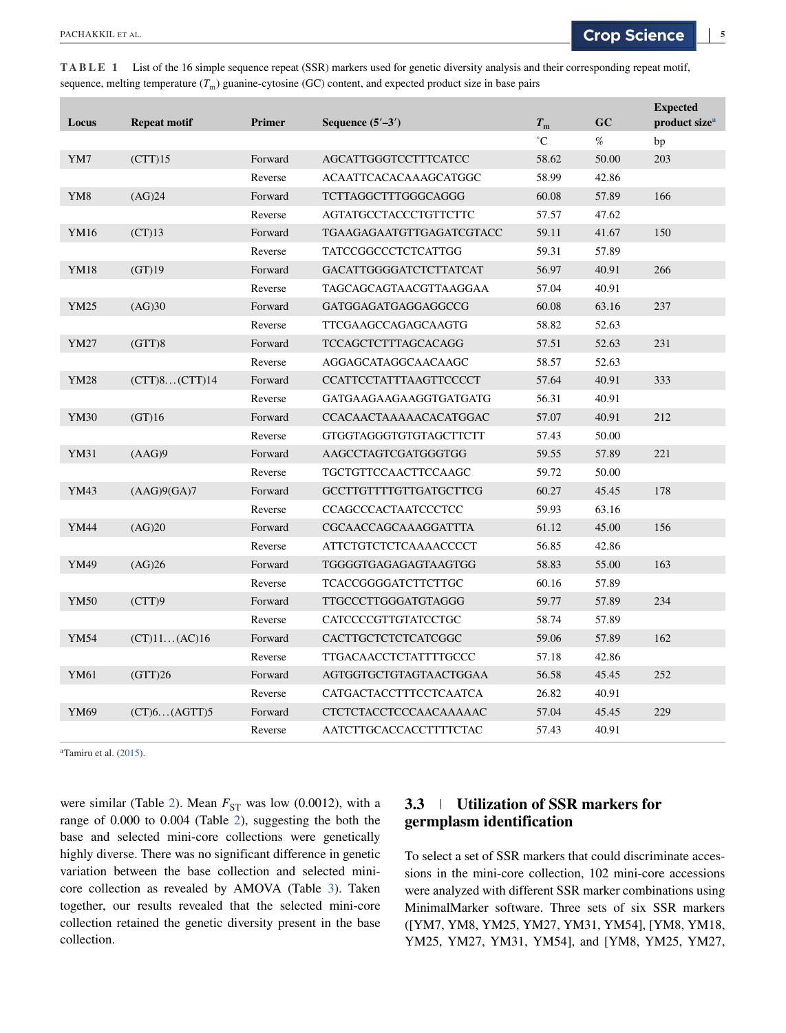| Locus           | <b>Repeat motif</b> | <b>Primer</b> | Sequence $(5'–3')$            | $T_{\rm m}$     | GC    | <b>Expected</b><br>product size <sup>a</sup> |
|-----------------|---------------------|---------------|-------------------------------|-----------------|-------|----------------------------------------------|
|                 |                     |               |                               | $\rm ^{\circ}C$ | $\%$  | bp                                           |
| YM7             | (CTT)15             | Forward       | <b>AGCATTGGGTCCTTTCATCC</b>   | 58.62           | 50.00 | 203                                          |
|                 |                     | Reverse       | ACAATTCACACAAAGCATGGC         | 58.99           | 42.86 |                                              |
| YM <sub>8</sub> | (AG)24              | Forward       | TCTTAGGCTTTGGGCAGGG           | 60.08           | 57.89 | 166                                          |
|                 |                     | Reverse       | <b>AGTATGCCTACCCTGTTCTTC</b>  | 57.57           | 47.62 |                                              |
| YM16            | (CT)13              | Forward       | TGAAGAGAATGTTGAGATCGTACC      | 59.11           | 41.67 | 150                                          |
|                 |                     | Reverse       | TATCCGGCCCTCTCATTGG           | 59.31           | 57.89 |                                              |
| YM18            | (GT)19              | Forward       | <b>GACATTGGGGATCTCTTATCAT</b> | 56.97           | 40.91 | 266                                          |
|                 |                     | Reverse       | TAGCAGCAGTAACGTTAAGGAA        | 57.04           | 40.91 |                                              |
| <b>YM25</b>     | (AG)30              | Forward       | <b>GATGGAGATGAGGAGGCCG</b>    | 60.08           | 63.16 | 237                                          |
|                 |                     | Reverse       | <b>TTCGAAGCCAGAGCAAGTG</b>    | 58.82           | 52.63 |                                              |
| YM27            | (GTT)8              | Forward       | <b>TCCAGCTCTTTAGCACAGG</b>    | 57.51           | 52.63 | 231                                          |
|                 |                     | Reverse       | AGGAGCATAGGCAACAAGC           | 58.57           | 52.63 |                                              |
| YM28            | (CTT)8 (CTT)14      | Forward       | <b>CCATTCCTATTTAAGTTCCCCT</b> | 57.64           | 40.91 | 333                                          |
|                 |                     | Reverse       | GATGAAGAAGAAGGTGATGATG        | 56.31           | 40.91 |                                              |
| YM30            | (GT)16              | Forward       | <b>CCACAACTAAAAACACATGGAC</b> | 57.07           | 40.91 | 212                                          |
|                 |                     | Reverse       | <b>GTGGTAGGGTGTGTAGCTTCTT</b> | 57.43           | 50.00 |                                              |
| YM31            | (AAG)9              | Forward       | AAGCCTAGTCGATGGGTGG           | 59.55           | 57.89 | 221                                          |
|                 |                     | Reverse       | <b>TGCTGTTCCAACTTCCAAGC</b>   | 59.72           | 50.00 |                                              |
| YM43            | (AAG)9(GA)7         | Forward       | GCCTTGTTTTGTTGATGCTTCG        | 60.27           | 45.45 | 178                                          |
|                 |                     | Reverse       | <b>CCAGCCCACTAATCCCTCC</b>    | 59.93           | 63.16 |                                              |
| YM44            | (AG)20              | Forward       | CGCAACCAGCAAAGGATTTA          | 61.12           | 45.00 | 156                                          |
|                 |                     | Reverse       | <b>ATTCTGTCTCTCAAAACCCCT</b>  | 56.85           | 42.86 |                                              |
| YM49            | (AG)26              | Forward       | TGGGGTGAGAGAGTAAGTGG          | 58.83           | 55.00 | 163                                          |
|                 |                     | Reverse       | TCACCGGGGATCTTCTTGC           | 60.16           | 57.89 |                                              |
| <b>YM50</b>     | (CTT)9              | Forward       | TTGCCCTTGGGATGTAGGG           | 59.77           | 57.89 | 234                                          |
|                 |                     | Reverse       | CATCCCCGTTGTATCCTGC           | 58.74           | 57.89 |                                              |
| <b>YM54</b>     | $(CT)11$ $(AC)16$   | Forward       | CACTTGCTCTCTCATCGGC           | 59.06           | 57.89 | 162                                          |
|                 |                     | Reverse       | TTGACAACCTCTATTTTGCCC         | 57.18           | 42.86 |                                              |
| YM61            | (GTT)26             | Forward       | AGTGGTGCTGTAGTAACTGGAA        | 56.58           | 45.45 | 252                                          |
|                 |                     | Reverse       | CATGACTACCTTTCCTCAATCA        | 26.82           | 40.91 |                                              |
| YM69            | (CT)6 (AGTT)5       | Forward       | CTCTCTACCTCCCAACAAAAAC        | 57.04           | 45.45 | 229                                          |

Reverse AATCTTGCACCACCTTTTCTAC 57.43 40.91

<span id="page-4-0"></span>**TABLE 1** List of the 16 simple sequence repeat (SSR) markers used for genetic diversity analysis and their corresponding repeat motif, sequence, melting temperature  $(T_m)$  guanine-cytosine (GC) content, and expected product size in base pairs

<sup>a</sup>Tamiru et al. [\(2015\)](#page-11-0).

were similar (Table [2\)](#page-5-0). Mean  $F_{ST}$  was low (0.0012), with a range of 0.000 to 0.004 (Table [2\)](#page-5-0), suggesting the both the base and selected mini-core collections were genetically highly diverse. There was no significant difference in genetic variation between the base collection and selected minicore collection as revealed by AMOVA (Table [3\)](#page-6-0). Taken together, our results revealed that the selected mini-core collection retained the genetic diversity present in the base collection.

# **3.3 Utilization of SSR markers for germplasm identification**

To select a set of SSR markers that could discriminate accessions in the mini-core collection, 102 mini-core accessions were analyzed with different SSR marker combinations using MinimalMarker software. Three sets of six SSR markers ([YM7, YM8, YM25, YM27, YM31, YM54], [YM8, YM18, YM25, YM27, YM31, YM54], and [YM8, YM25, YM27,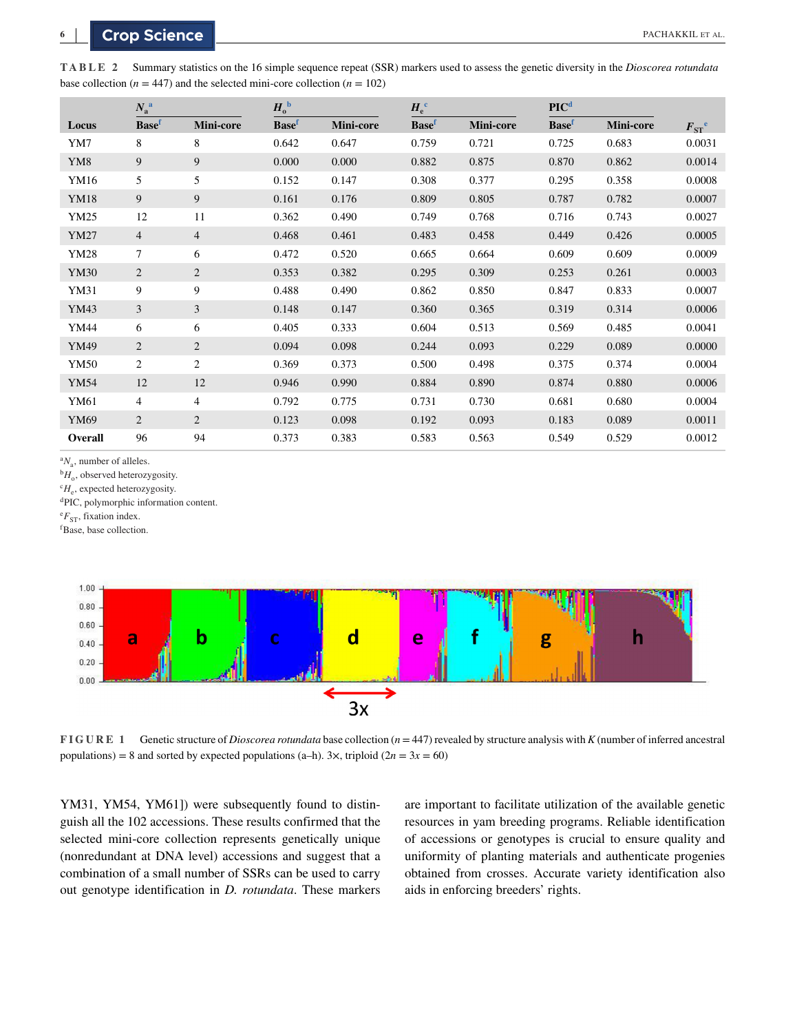|                 | $N_{\rm a}{}^{\rm a}$ |                | $H_{o}^{\ b}$ |           | $H_{\rm e}^{\rm c}$ |           | PIC <sup>d</sup> |           |                |
|-----------------|-----------------------|----------------|---------------|-----------|---------------------|-----------|------------------|-----------|----------------|
| Locus           | <b>Basef</b>          | Mini-core      | <b>Basef</b>  | Mini-core | <b>Basef</b>        | Mini-core | <b>Basef</b>     | Mini-core | $F_{ST}^{\ e}$ |
| YM7             | 8                     | 8              | 0.642         | 0.647     | 0.759               | 0.721     | 0.725            | 0.683     | 0.0031         |
| YM <sub>8</sub> | 9                     | 9              | 0.000         | 0.000     | 0.882               | 0.875     | 0.870            | 0.862     | 0.0014         |
| YM16            | 5                     | 5              | 0.152         | 0.147     | 0.308               | 0.377     | 0.295            | 0.358     | 0.0008         |
| YM18            | 9                     | 9              | 0.161         | 0.176     | 0.809               | 0.805     | 0.787            | 0.782     | 0.0007         |
| YM25            | 12                    | 11             | 0.362         | 0.490     | 0.749               | 0.768     | 0.716            | 0.743     | 0.0027         |
| <b>YM27</b>     | $\overline{4}$        | $\overline{4}$ | 0.468         | 0.461     | 0.483               | 0.458     | 0.449            | 0.426     | 0.0005         |
| <b>YM28</b>     | $\tau$                | 6              | 0.472         | 0.520     | 0.665               | 0.664     | 0.609            | 0.609     | 0.0009         |
| YM30            | $\overline{2}$        | $\overline{2}$ | 0.353         | 0.382     | 0.295               | 0.309     | 0.253            | 0.261     | 0.0003         |
| YM31            | 9                     | 9              | 0.488         | 0.490     | 0.862               | 0.850     | 0.847            | 0.833     | 0.0007         |
| YM43            | 3                     | 3              | 0.148         | 0.147     | 0.360               | 0.365     | 0.319            | 0.314     | 0.0006         |
| YM44            | 6                     | 6              | 0.405         | 0.333     | 0.604               | 0.513     | 0.569            | 0.485     | 0.0041         |
| YM49            | $\overline{2}$        | $\overline{2}$ | 0.094         | 0.098     | 0.244               | 0.093     | 0.229            | 0.089     | 0.0000         |
| YM50            | $\overline{c}$        | $\overline{c}$ | 0.369         | 0.373     | 0.500               | 0.498     | 0.375            | 0.374     | 0.0004         |
| <b>YM54</b>     | 12                    | 12             | 0.946         | 0.990     | 0.884               | 0.890     | 0.874            | 0.880     | 0.0006         |
| YM61            | $\overline{4}$        | $\overline{4}$ | 0.792         | 0.775     | 0.731               | 0.730     | 0.681            | 0.680     | 0.0004         |
| YM69            | $\overline{2}$        | $\overline{2}$ | 0.123         | 0.098     | 0.192               | 0.093     | 0.183            | 0.089     | 0.0011         |
| Overall         | 96                    | 94             | 0.373         | 0.383     | 0.583               | 0.563     | 0.549            | 0.529     | 0.0012         |

<span id="page-5-0"></span>**TABLE 2** Summary statistics on the 16 simple sequence repeat (SSR) markers used to assess the genetic diversity in the *Dioscorea rotundata* base collection ( $n = 447$ ) and the selected mini-core collection ( $n = 102$ )

 ${}^aN_a$ , number of alleles.

 $^{b}H_{o}$ , observed heterozygosity.

 $c_{H_e}$ , expected heterozygosity.

dPIC, polymorphic information content.

 ${}^{\text{e}}F_{\text{ST}}$ , fixation index.

f Base, base collection.



**FIGURE 1** Genetic structure of *Dioscorea rotundata* base collection (*n* = 447) revealed by structure analysis with *K* (number of inferred ancestral populations) = 8 and sorted by expected populations (a–h). 3 $\times$ , triploid (2*n* = 3*x* = 60)

YM31, YM54, YM61]) were subsequently found to distinguish all the 102 accessions. These results confirmed that the selected mini-core collection represents genetically unique (nonredundant at DNA level) accessions and suggest that a combination of a small number of SSRs can be used to carry out genotype identification in *D. rotundata*. These markers

are important to facilitate utilization of the available genetic resources in yam breeding programs. Reliable identification of accessions or genotypes is crucial to ensure quality and uniformity of planting materials and authenticate progenies obtained from crosses. Accurate variety identification also aids in enforcing breeders' rights.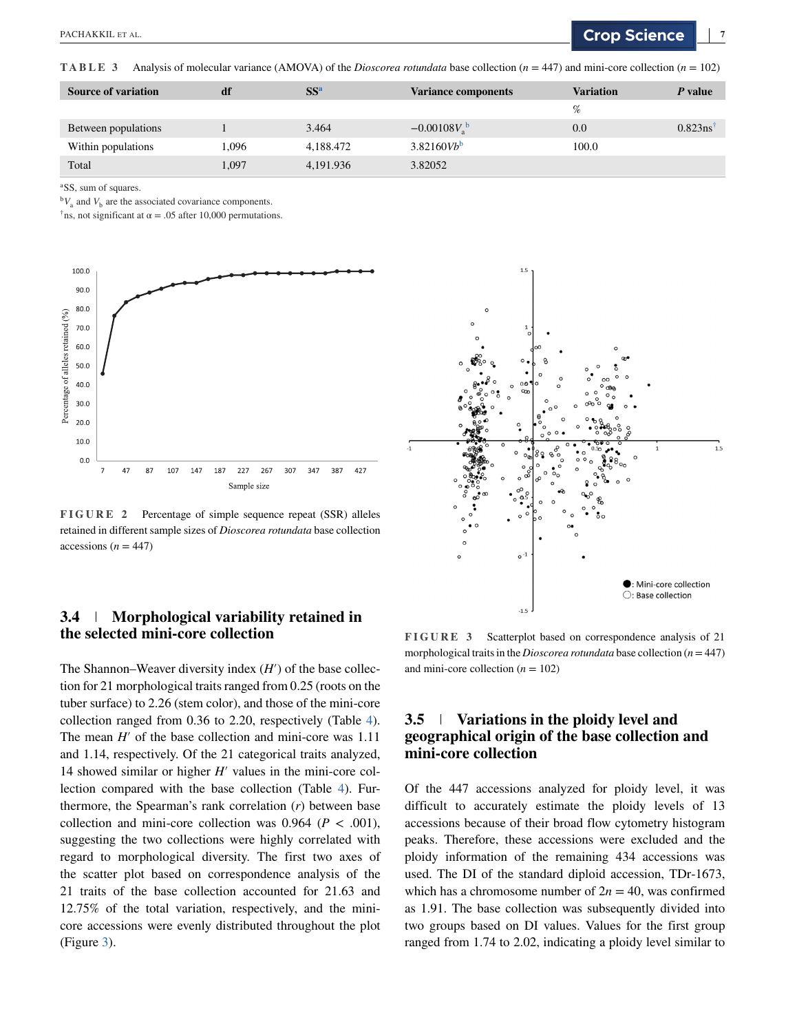<span id="page-6-0"></span>**TABLE 3** Analysis of molecular variance (AMOVA) of the *Dioscorea rotundata* base collection  $(n = 447)$  and mini-core collection  $(n = 102)$ 

| <b>Source of variation</b> | df    | SS <sup>a</sup> | <b>Variance components</b> | <b>Variation</b> | P value    |
|----------------------------|-------|-----------------|----------------------------|------------------|------------|
|                            |       |                 |                            | %                |            |
| Between populations        |       | 3.464           | $-0.00108Vab$              | 0.0              | $0.823$ ns |
| Within populations         | .096  | 4,188.472       | $3.82160Vb^b$              | 100.0            |            |
| Total                      | 1,097 | 4,191.936       | 3.82052                    |                  |            |

<sup>a</sup>SS, sum of squares.

 ${}^{\text{b}}V_{\text{a}}$  and  $V_{\text{b}}$  are the associated covariance components.

<sup>†</sup>ns, not significant at  $\alpha = .05$  after 10,000 permutations.



**FIGURE 2** Percentage of simple sequence repeat (SSR) alleles retained in different sample sizes of *Dioscorea rotundata* base collection accessions ( $n = 447$ )



## **3.4 Morphological variability retained in the selected mini-core collection**

The Shannon–Weaver diversity index (*H*′) of the base collection for 21 morphological traits ranged from 0.25 (roots on the tuber surface) to 2.26 (stem color), and those of the mini-core collection ranged from 0.36 to 2.20, respectively (Table [4\)](#page-7-0). The mean *H'* of the base collection and mini-core was 1.11 and 1.14, respectively. Of the 21 categorical traits analyzed, 14 showed similar or higher *H*′ values in the mini-core collection compared with the base collection (Table [4\)](#page-7-0). Furthermore, the Spearman's rank correlation (*r*) between base collection and mini-core collection was  $0.964$  ( $P < .001$ ), suggesting the two collections were highly correlated with regard to morphological diversity. The first two axes of the scatter plot based on correspondence analysis of the 21 traits of the base collection accounted for 21.63 and 12.75% of the total variation, respectively, and the minicore accessions were evenly distributed throughout the plot (Figure 3).

**FIGURE 3** Scatterplot based on correspondence analysis of 21 morphological traits in the *Dioscorea rotundata* base collection (*n*=447) and mini-core collection  $(n = 102)$ 

# **3.5 Variations in the ploidy level and geographical origin of the base collection and mini-core collection**

Of the 447 accessions analyzed for ploidy level, it was difficult to accurately estimate the ploidy levels of 13 accessions because of their broad flow cytometry histogram peaks. Therefore, these accessions were excluded and the ploidy information of the remaining 434 accessions was used. The DI of the standard diploid accession, TDr-1673, which has a chromosome number of  $2n = 40$ , was confirmed as 1.91. The base collection was subsequently divided into two groups based on DI values. Values for the first group ranged from 1.74 to 2.02, indicating a ploidy level similar to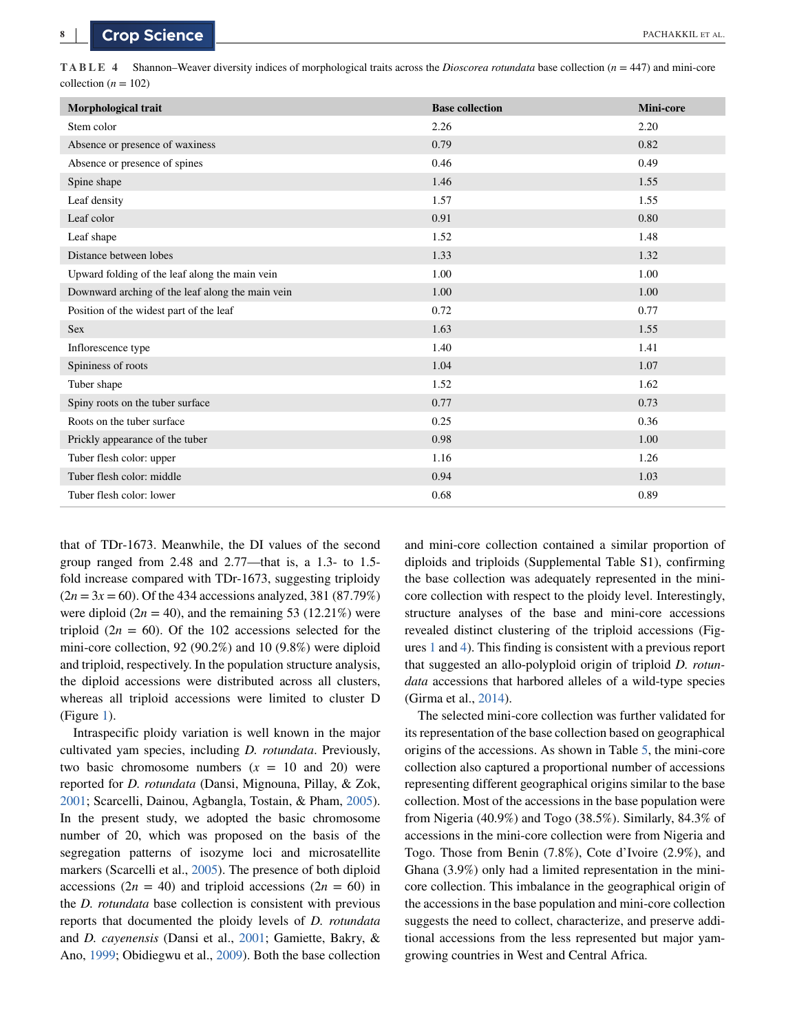<span id="page-7-0"></span>**TABLE 4** Shannon–Weaver diversity indices of morphological traits across the *Dioscorea rotundata* base collection (*n* = 447) and mini-core collection ( $n = 102$ )

| Morphological trait                              | <b>Base collection</b> | <b>Mini-core</b> |
|--------------------------------------------------|------------------------|------------------|
| Stem color                                       | 2.26                   | 2.20             |
| Absence or presence of waxiness                  | 0.79                   | 0.82             |
| Absence or presence of spines                    | 0.46                   | 0.49             |
| Spine shape                                      | 1.46                   | 1.55             |
| Leaf density                                     | 1.57                   | 1.55             |
| Leaf color                                       | 0.91                   | 0.80             |
| Leaf shape                                       | 1.52                   | 1.48             |
| Distance between lobes                           | 1.33                   | 1.32             |
| Upward folding of the leaf along the main vein   | 1.00                   | 1.00             |
| Downward arching of the leaf along the main vein | 1.00                   | 1.00             |
| Position of the widest part of the leaf          | 0.72                   | 0.77             |
| <b>Sex</b>                                       | 1.63                   | 1.55             |
| Inflorescence type                               | 1.40                   | 1.41             |
| Spininess of roots                               | 1.04                   | 1.07             |
| Tuber shape                                      | 1.52                   | 1.62             |
| Spiny roots on the tuber surface                 | 0.77                   | 0.73             |
| Roots on the tuber surface                       | 0.25                   | 0.36             |
| Prickly appearance of the tuber                  | 0.98                   | 1.00             |
| Tuber flesh color: upper                         | 1.16                   | 1.26             |
| Tuber flesh color: middle                        | 0.94                   | 1.03             |
| Tuber flesh color: lower                         | 0.68                   | 0.89             |

that of TDr-1673. Meanwhile, the DI values of the second group ranged from 2.48 and 2.77—that is, a 1.3- to 1.5 fold increase compared with TDr-1673, suggesting triploidy  $(2n = 3x = 60)$ . Of the 434 accessions analyzed, 381 (87.79%) were diploid  $(2n = 40)$ , and the remaining 53 (12.21%) were triploid  $(2n = 60)$ . Of the 102 accessions selected for the mini-core collection, 92 (90.2%) and 10 (9.8%) were diploid and triploid, respectively. In the population structure analysis, the diploid accessions were distributed across all clusters, whereas all triploid accessions were limited to cluster D (Figure [1\)](#page-5-0).

Intraspecific ploidy variation is well known in the major cultivated yam species, including *D. rotundata*. Previously, two basic chromosome numbers  $(x = 10$  and 20) were reported for *D. rotundata* (Dansi, Mignouna, Pillay, & Zok, [2001;](#page-10-0) Scarcelli, Dainou, Agbangla, Tostain, & Pham, [2005\)](#page-11-0). In the present study, we adopted the basic chromosome number of 20, which was proposed on the basis of the segregation patterns of isozyme loci and microsatellite markers (Scarcelli et al., [2005\)](#page-11-0). The presence of both diploid accessions  $(2n = 40)$  and triploid accessions  $(2n = 60)$  in the *D. rotundata* base collection is consistent with previous reports that documented the ploidy levels of *D. rotundata* and *D. cayenensis* (Dansi et al., [2001;](#page-10-0) Gamiette, Bakry, & Ano, [1999;](#page-10-0) Obidiegwu et al., [2009\)](#page-11-0). Both the base collection

and mini-core collection contained a similar proportion of diploids and triploids (Supplemental Table S1), confirming the base collection was adequately represented in the minicore collection with respect to the ploidy level. Interestingly, structure analyses of the base and mini-core accessions revealed distinct clustering of the triploid accessions (Figures [1](#page-5-0) and [4\)](#page-8-0). This finding is consistent with a previous report that suggested an allo-polyploid origin of triploid *D. rotundata* accessions that harbored alleles of a wild-type species (Girma et al., [2014\)](#page-11-0).

The selected mini-core collection was further validated for its representation of the base collection based on geographical origins of the accessions. As shown in Table [5,](#page-8-0) the mini-core collection also captured a proportional number of accessions representing different geographical origins similar to the base collection. Most of the accessions in the base population were from Nigeria (40.9%) and Togo (38.5%). Similarly, 84.3% of accessions in the mini-core collection were from Nigeria and Togo. Those from Benin (7.8%), Cote d'Ivoire (2.9%), and Ghana (3.9%) only had a limited representation in the minicore collection. This imbalance in the geographical origin of the accessions in the base population and mini-core collection suggests the need to collect, characterize, and preserve additional accessions from the less represented but major yamgrowing countries in West and Central Africa.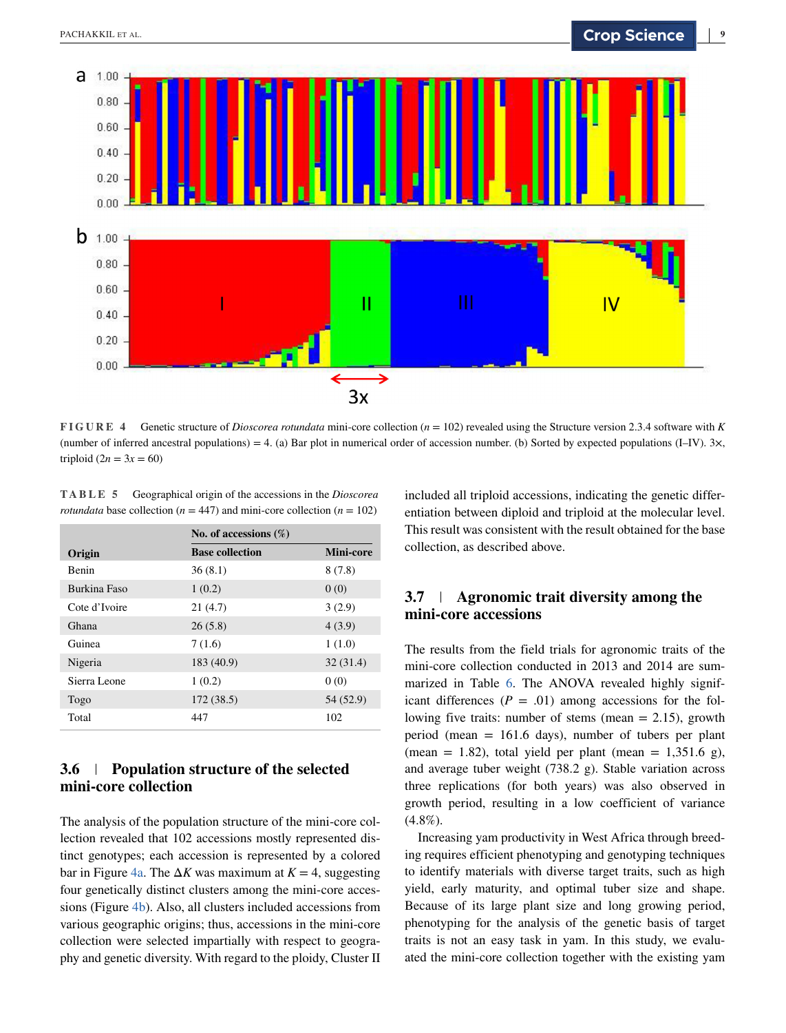<span id="page-8-0"></span>

**FIGURE 4** Genetic structure of *Dioscorea rotundata* mini-core collection (*n* = 102) revealed using the Structure version 2.3.4 software with *K* (number of inferred ancestral populations) = 4. (a) Bar plot in numerical order of accession number. (b) Sorted by expected populations (I–IV). 3 $\times$ , triploid  $(2n = 3x = 60)$ 

**TABLE 5** Geographical origin of the accessions in the *Dioscorea rotundata* base collection ( $n = 447$ ) and mini-core collection ( $n = 102$ )

|                     | No. of accessions $(\%)$ |           |  |
|---------------------|--------------------------|-----------|--|
| Origin              | <b>Base collection</b>   | Mini-core |  |
| <b>Benin</b>        | 36(8.1)                  | 8(7.8)    |  |
| <b>Burkina Faso</b> | 1(0.2)                   | 0(0)      |  |
| Cote d'Ivoire       | 21(4.7)                  | 3(2.9)    |  |
| Ghana               | 26(5.8)                  | 4(3.9)    |  |
| Guinea              | 7(1.6)                   | 1(1.0)    |  |
| Nigeria             | 183 (40.9)               | 32(31.4)  |  |
| Sierra Leone        | 1(0.2)                   | 0(0)      |  |
| Togo                | 172 (38.5)               | 54 (52.9) |  |
| Total               | 447                      | 102       |  |

# **3.6 Population structure of the selected mini-core collection**

The analysis of the population structure of the mini-core collection revealed that 102 accessions mostly represented distinct genotypes; each accession is represented by a colored bar in Figure 4a. The  $\Delta K$  was maximum at  $K = 4$ , suggesting four genetically distinct clusters among the mini-core accessions (Figure 4b). Also, all clusters included accessions from various geographic origins; thus, accessions in the mini-core collection were selected impartially with respect to geography and genetic diversity. With regard to the ploidy, Cluster II

included all triploid accessions, indicating the genetic differentiation between diploid and triploid at the molecular level. This result was consistent with the result obtained for the base collection, as described above.

# **3.7 Agronomic trait diversity among the mini-core accessions**

The results from the field trials for agronomic traits of the mini-core collection conducted in 2013 and 2014 are summarized in Table [6.](#page-9-0) The ANOVA revealed highly significant differences  $(P = .01)$  among accessions for the following five traits: number of stems (mean  $= 2.15$ ), growth period (mean = 161.6 days), number of tubers per plant (mean = 1.82), total yield per plant (mean = 1,351.6 g), and average tuber weight (738.2 g). Stable variation across three replications (for both years) was also observed in growth period, resulting in a low coefficient of variance  $(4.8\%).$ 

Increasing yam productivity in West Africa through breeding requires efficient phenotyping and genotyping techniques to identify materials with diverse target traits, such as high yield, early maturity, and optimal tuber size and shape. Because of its large plant size and long growing period, phenotyping for the analysis of the genetic basis of target traits is not an easy task in yam. In this study, we evaluated the mini-core collection together with the existing yam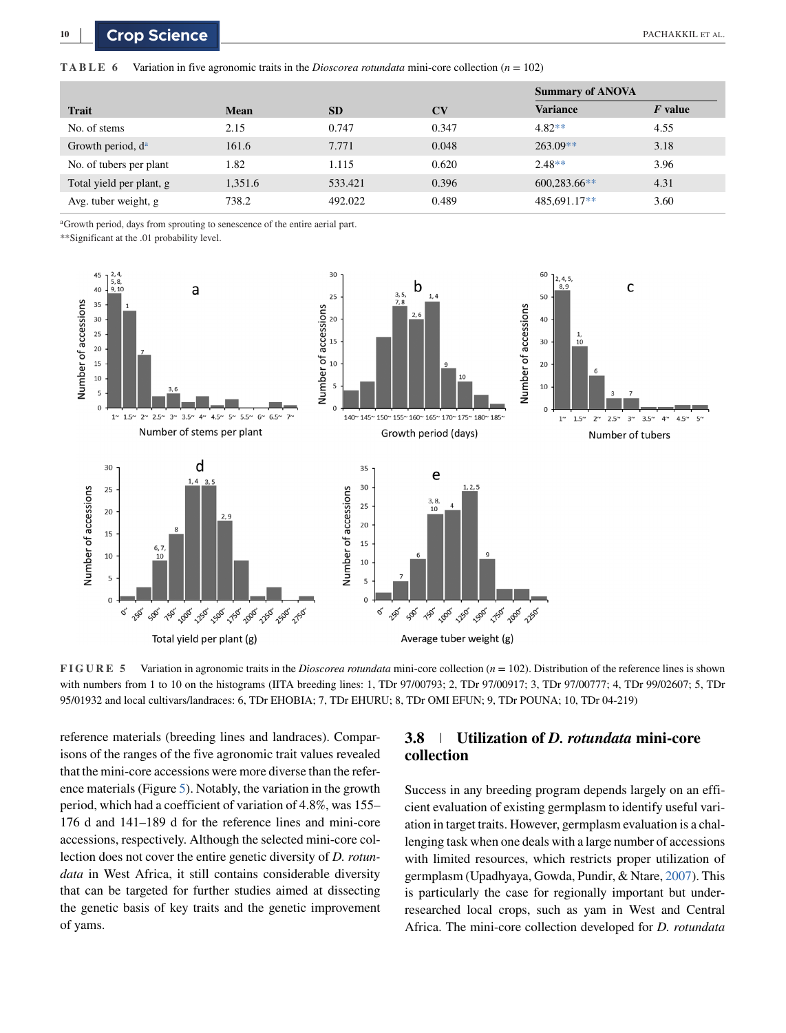<span id="page-9-0"></span>**TABLE 6** Variation in five agronomic traits in the *Dioscorea rotundata* mini-core collection  $(n = 102)$ 

|                          |             |           |                        | <b>Summary of ANOVA</b> |           |
|--------------------------|-------------|-----------|------------------------|-------------------------|-----------|
| <b>Trait</b>             | <b>Mean</b> | <b>SD</b> | $\mathbf{C}\mathbf{V}$ | <b>Variance</b>         | $F$ value |
| No. of stems             | 2.15        | 0.747     | 0.347                  | $4.82**$                | 4.55      |
| Growth period, $d^a$     | 161.6       | 7.771     | 0.048                  | $263.09**$              | 3.18      |
| No. of tubers per plant  | 1.82        | 1.115     | 0.620                  | $2.48**$                | 3.96      |
| Total yield per plant, g | 1,351.6     | 533.421   | 0.396                  | $600,283.66**$          | 4.31      |
| Avg. tuber weight, g     | 738.2       | 492.022   | 0.489                  | $485,691.17**$          | 3.60      |

<sup>a</sup>Growth period, days from sprouting to senescence of the entire aerial part.

\*\*Significant at the .01 probability level.



**FIGURE 5** Variation in agronomic traits in the *Dioscorea rotundata* mini-core collection (*n* = 102). Distribution of the reference lines is shown with numbers from 1 to 10 on the histograms (IITA breeding lines: 1, TDr 97/00793; 2, TDr 97/00917; 3, TDr 97/00777; 4, TDr 99/02607; 5, TDr 95/01932 and local cultivars/landraces: 6, TDr EHOBIA; 7, TDr EHURU; 8, TDr OMI EFUN; 9, TDr POUNA; 10, TDr 04-219)

reference materials (breeding lines and landraces). Comparisons of the ranges of the five agronomic trait values revealed that the mini-core accessions were more diverse than the reference materials (Figure 5). Notably, the variation in the growth period, which had a coefficient of variation of 4.8%, was 155– 176 d and 141–189 d for the reference lines and mini-core accessions, respectively. Although the selected mini-core collection does not cover the entire genetic diversity of *D. rotundata* in West Africa, it still contains considerable diversity that can be targeted for further studies aimed at dissecting the genetic basis of key traits and the genetic improvement of yams.

# **3.8 Utilization of** *D. rotundata* **mini-core collection**

Success in any breeding program depends largely on an efficient evaluation of existing germplasm to identify useful variation in target traits. However, germplasm evaluation is a challenging task when one deals with a large number of accessions with limited resources, which restricts proper utilization of germplasm (Upadhyaya, Gowda, Pundir, & Ntare, [2007\)](#page-11-0). This is particularly the case for regionally important but underresearched local crops, such as yam in West and Central Africa. The mini-core collection developed for *D. rotundata*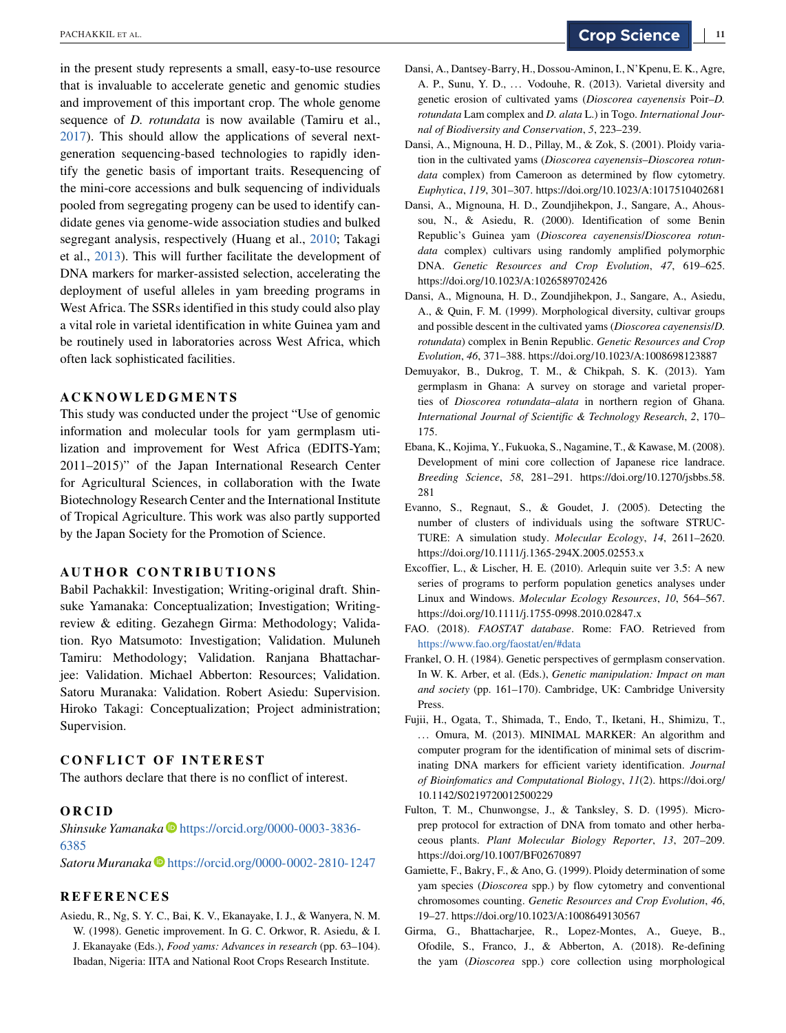<span id="page-10-0"></span>in the present study represents a small, easy-to-use resource that is invaluable to accelerate genetic and genomic studies and improvement of this important crop. The whole genome sequence of *D. rotundata* is now available (Tamiru et al., [2017\)](#page-11-0). This should allow the applications of several nextgeneration sequencing-based technologies to rapidly identify the genetic basis of important traits. Resequencing of the mini-core accessions and bulk sequencing of individuals pooled from segregating progeny can be used to identify candidate genes via genome-wide association studies and bulked segregant analysis, respectively (Huang et al., [2010;](#page-11-0) Takagi et al., [2013\)](#page-11-0). This will further facilitate the development of DNA markers for marker-assisted selection, accelerating the deployment of useful alleles in yam breeding programs in West Africa. The SSRs identified in this study could also play a vital role in varietal identification in white Guinea yam and be routinely used in laboratories across West Africa, which often lack sophisticated facilities.

## **ACKNOWLEDGMENTS**

This study was conducted under the project "Use of genomic information and molecular tools for yam germplasm utilization and improvement for West Africa (EDITS-Yam; 2011–2015)" of the Japan International Research Center for Agricultural Sciences, in collaboration with the Iwate Biotechnology Research Center and the International Institute of Tropical Agriculture. This work was also partly supported by the Japan Society for the Promotion of Science.

#### **AUTHOR CONTRIBUTIONS**

Babil Pachakkil: Investigation; Writing-original draft. Shinsuke Yamanaka: Conceptualization; Investigation; Writingreview & editing. Gezahegn Girma: Methodology; Validation. Ryo Matsumoto: Investigation; Validation. Muluneh Tamiru: Methodology; Validation. Ranjana Bhattacharjee: Validation. Michael Abberton: Resources; Validation. Satoru Muranaka: Validation. Robert Asiedu: Supervision. Hiroko Takagi: Conceptualization; Project administration; Supervision.

#### **CONFLICT OF INTEREST**

The authors declare that there is no conflict of interest.

#### **ORCID**

*Shinsuke Yamanaka* [https://orcid.org/0000-0003-3836-](https://orcid.org/0000-0003-3836-6385) [6385](https://orcid.org/0000-0003-3836-6385)

Satoru Muranaka<sup> •</sup> <https://orcid.org/0000-0002-2810-1247>

#### **REFERENCES**

Asiedu, R., Ng, S. Y. C., Bai, K. V., Ekanayake, I. J., & Wanyera, N. M. W. (1998). Genetic improvement. In G. C. Orkwor, R. Asiedu, & I. J. Ekanayake (Eds.), *Food yams: Advances in research* (pp. 63–104). Ibadan, Nigeria: IITA and National Root Crops Research Institute.

- Dansi, A., Dantsey-Barry, H., Dossou-Aminon, I., N'Kpenu, E. K., Agre, A. P., Sunu, Y. D., ... Vodouhe, R. (2013). Varietal diversity and genetic erosion of cultivated yams (*Dioscorea cayenensis* Poir–*D. rotundata* Lam complex and *D. alata* L.) in Togo. *International Journal of Biodiversity and Conservation*, *5*, 223–239.
- Dansi, A., Mignouna, H. D., Pillay, M., & Zok, S. (2001). Ploidy variation in the cultivated yams (*Dioscorea cayenensis*–*Dioscorea rotundata* complex) from Cameroon as determined by flow cytometry. *Euphytica*, *119*, 301–307. https://doi.org/10.1023/A:1017510402681
- Dansi, A., Mignouna, H. D., Zoundjihekpon, J., Sangare, A., Ahoussou, N., & Asiedu, R. (2000). Identification of some Benin Republic's Guinea yam (*Dioscorea cayenensis*/*Dioscorea rotundata* complex) cultivars using randomly amplified polymorphic DNA. *Genetic Resources and Crop Evolution*, *47*, 619–625. https://doi.org/10.1023/A:1026589702426
- Dansi, A., Mignouna, H. D., Zoundjihekpon, J., Sangare, A., Asiedu, A., & Quin, F. M. (1999). Morphological diversity, cultivar groups and possible descent in the cultivated yams (*Dioscorea cayenensis*/*D. rotundata*) complex in Benin Republic. *Genetic Resources and Crop Evolution*, *46*, 371–388. https://doi.org/10.1023/A:1008698123887
- Demuyakor, B., Dukrog, T. M., & Chikpah, S. K. (2013). Yam germplasm in Ghana: A survey on storage and varietal properties of *Dioscorea rotundata*–*alata* in northern region of Ghana. *International Journal of Scientific & Technology Research*, *2*, 170– 175.
- Ebana, K., Kojima, Y., Fukuoka, S., Nagamine, T., & Kawase, M. (2008). Development of mini core collection of Japanese rice landrace. *Breeding Science*, *58*, 281–291. https://doi.org/10.1270/jsbbs.58. 281
- Evanno, S., Regnaut, S., & Goudet, J. (2005). Detecting the number of clusters of individuals using the software STRUC-TURE: A simulation study. *Molecular Ecology*, *14*, 2611–2620. https://doi.org/10.1111/j.1365-294X.2005.02553.x
- Excoffier, L., & Lischer, H. E. (2010). Arlequin suite ver 3.5: A new series of programs to perform population genetics analyses under Linux and Windows. *Molecular Ecology Resources*, *10*, 564–567. https://doi.org/10.1111/j.1755-0998.2010.02847.x
- FAO. (2018). *FAOSTAT database*. Rome: FAO. Retrieved from <https://www.fao.org/faostat/en/#data>
- Frankel, O. H. (1984). Genetic perspectives of germplasm conservation. In W. K. Arber, et al. (Eds.), *Genetic manipulation: Impact on man and society* (pp. 161–170). Cambridge, UK: Cambridge University Press.
- Fujii, H., Ogata, T., Shimada, T., Endo, T., Iketani, H., Shimizu, T., ... Omura, M. (2013). MINIMAL MARKER: An algorithm and computer program for the identification of minimal sets of discriminating DNA markers for efficient variety identification. *Journal of Bioinfomatics and Computational Biology*, *11*(2). https://doi.org/ 10.1142/S0219720012500229
- Fulton, T. M., Chunwongse, J., & Tanksley, S. D. (1995). Microprep protocol for extraction of DNA from tomato and other herbaceous plants. *Plant Molecular Biology Reporter*, *13*, 207–209. https://doi.org/10.1007/BF02670897
- Gamiette, F., Bakry, F., & Ano, G. (1999). Ploidy determination of some yam species (*Dioscorea* spp.) by flow cytometry and conventional chromosomes counting. *Genetic Resources and Crop Evolution*, *46*, 19–27. https://doi.org/10.1023/A:1008649130567
- Girma, G., Bhattacharjee, R., Lopez-Montes, A., Gueye, B., Ofodile, S., Franco, J., & Abberton, A. (2018). Re-defining the yam (*Dioscorea* spp.) core collection using morphological